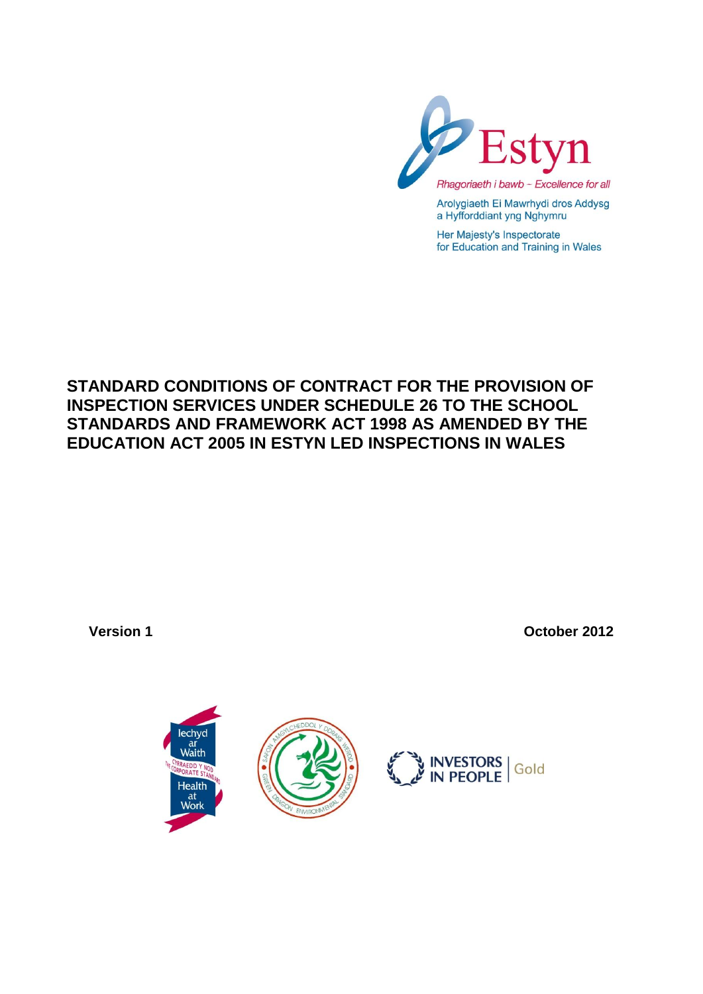

Arolygiaeth Ei Mawrhydi dros Addysg a Hyfforddiant yng Nghymru

Her Majesty's Inspectorate for Education and Training in Wales

# **STANDARD CONDITIONS OF CONTRACT FOR THE PROVISION OF INSPECTION SERVICES UNDER SCHEDULE 26 TO THE SCHOOL STANDARDS AND FRAMEWORK ACT 1998 AS AMENDED BY THE EDUCATION ACT 2005 IN ESTYN LED INSPECTIONS IN WALES**

**Version 1 October 2012**

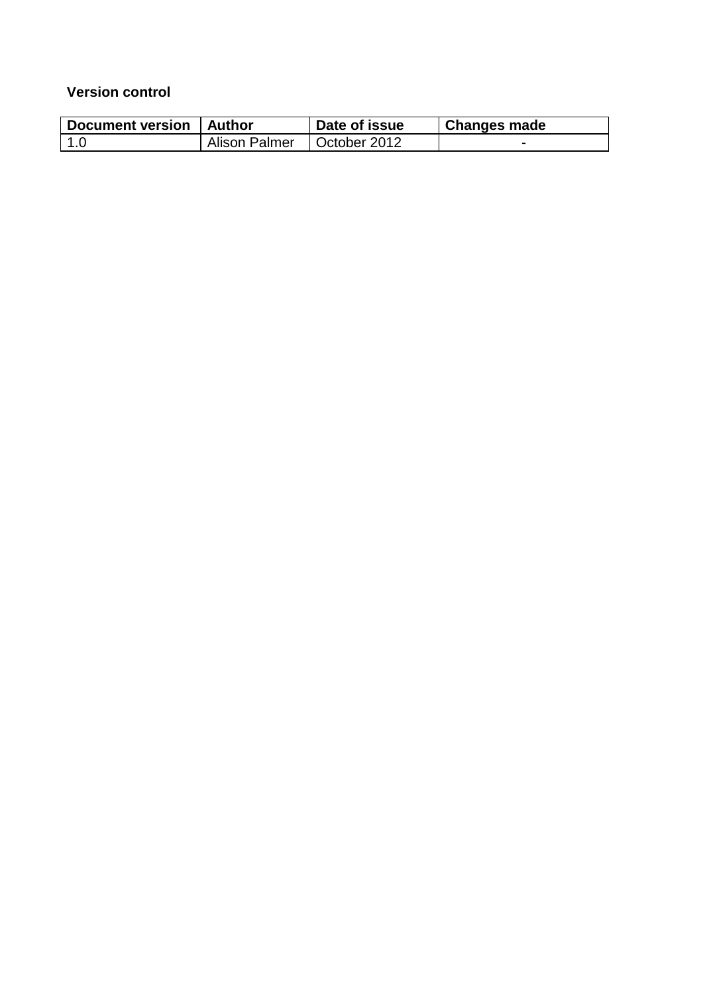### **Version control**

| Document version   Author |               | Date of issue | <b>Changes made</b> |
|---------------------------|---------------|---------------|---------------------|
| $\sqrt{1.0}$              | Alison Palmer | October 2012  |                     |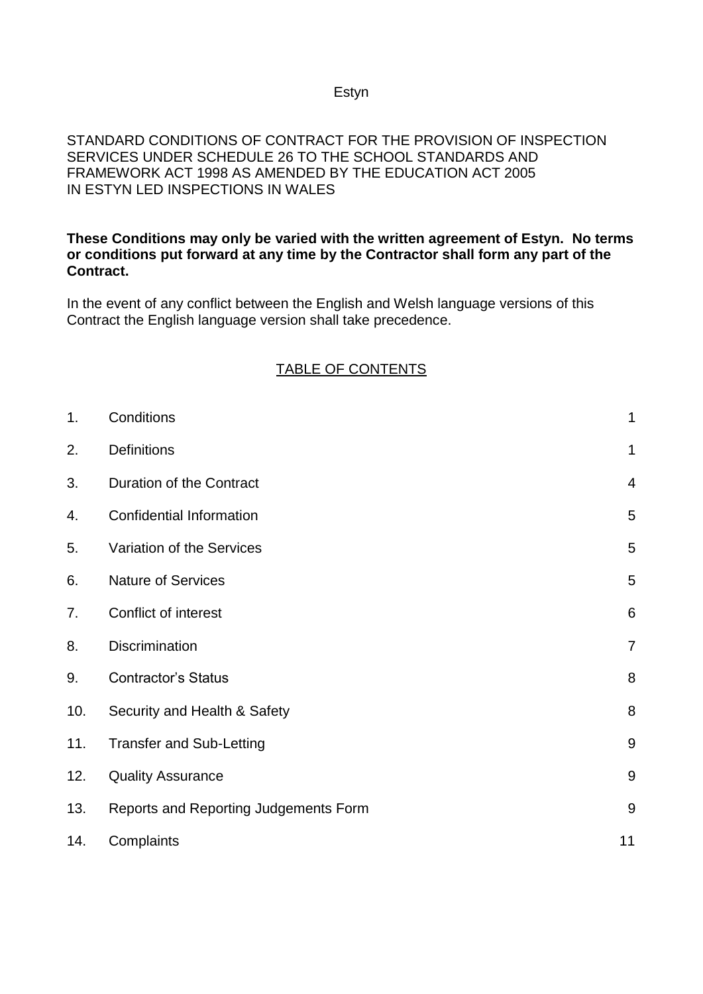#### Estyn

#### STANDARD CONDITIONS OF CONTRACT FOR THE PROVISION OF INSPECTION SERVICES UNDER SCHEDULE 26 TO THE SCHOOL STANDARDS AND FRAMEWORK ACT 1998 AS AMENDED BY THE EDUCATION ACT 2005 IN ESTYN LED INSPECTIONS IN WALES

#### **These Conditions may only be varied with the written agreement of Estyn. No terms or conditions put forward at any time by the Contractor shall form any part of the Contract.**

In the event of any conflict between the English and Welsh language versions of this Contract the English language version shall take precedence.

### TABLE OF CONTENTS

| 1.  | Conditions                            | $\mathbf 1$     |
|-----|---------------------------------------|-----------------|
| 2.  | <b>Definitions</b>                    | $\mathbf 1$     |
| 3.  | Duration of the Contract              | $\overline{4}$  |
| 4.  | <b>Confidential Information</b>       | 5               |
| 5.  | Variation of the Services             | 5               |
| 6.  | <b>Nature of Services</b>             | 5               |
| 7.  | Conflict of interest                  | $6\phantom{1}6$ |
| 8.  | Discrimination                        | $\overline{7}$  |
| 9.  | <b>Contractor's Status</b>            | 8               |
| 10. | Security and Health & Safety          | 8               |
| 11. | <b>Transfer and Sub-Letting</b>       | 9               |
| 12. | <b>Quality Assurance</b>              | 9               |
| 13. | Reports and Reporting Judgements Form | $\overline{9}$  |
| 14. | Complaints                            | 11              |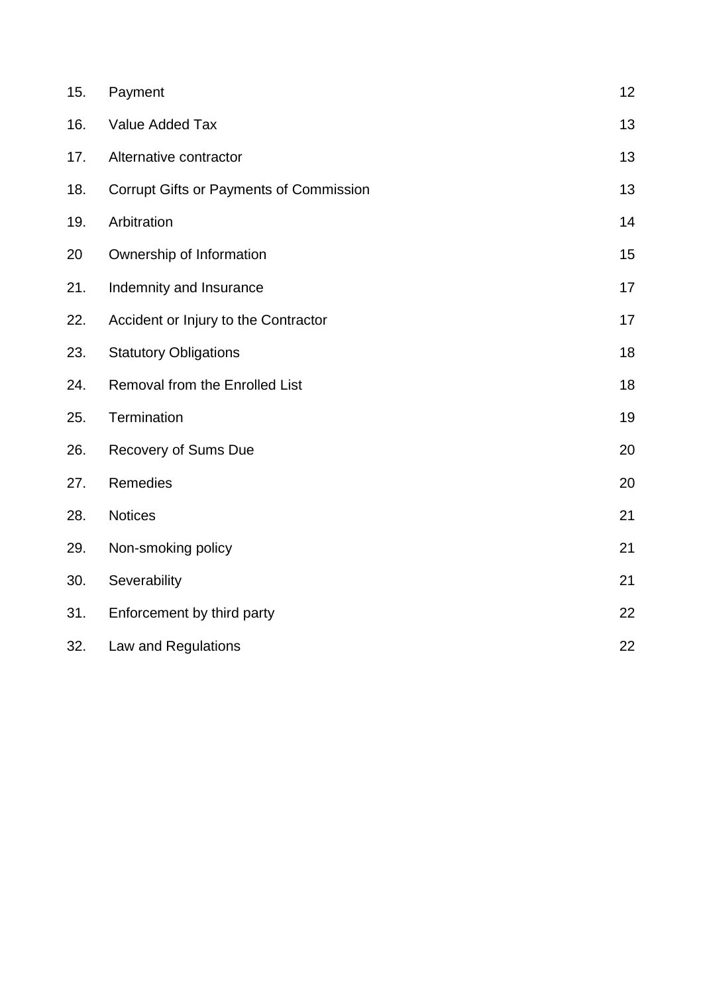| 15. | Payment                                        | 12 |
|-----|------------------------------------------------|----|
| 16. | Value Added Tax                                | 13 |
| 17. | Alternative contractor                         | 13 |
| 18. | <b>Corrupt Gifts or Payments of Commission</b> | 13 |
| 19. | Arbitration                                    | 14 |
| 20  | Ownership of Information                       | 15 |
| 21. | Indemnity and Insurance                        | 17 |
| 22. | Accident or Injury to the Contractor           | 17 |
| 23. | <b>Statutory Obligations</b>                   | 18 |
| 24. | <b>Removal from the Enrolled List</b>          | 18 |
| 25. | Termination                                    | 19 |
| 26. | Recovery of Sums Due                           | 20 |
| 27. | Remedies                                       | 20 |
| 28. | <b>Notices</b>                                 | 21 |
| 29. | Non-smoking policy                             | 21 |
| 30. | Severability                                   | 21 |
| 31. | Enforcement by third party                     | 22 |
| 32. | Law and Regulations                            | 22 |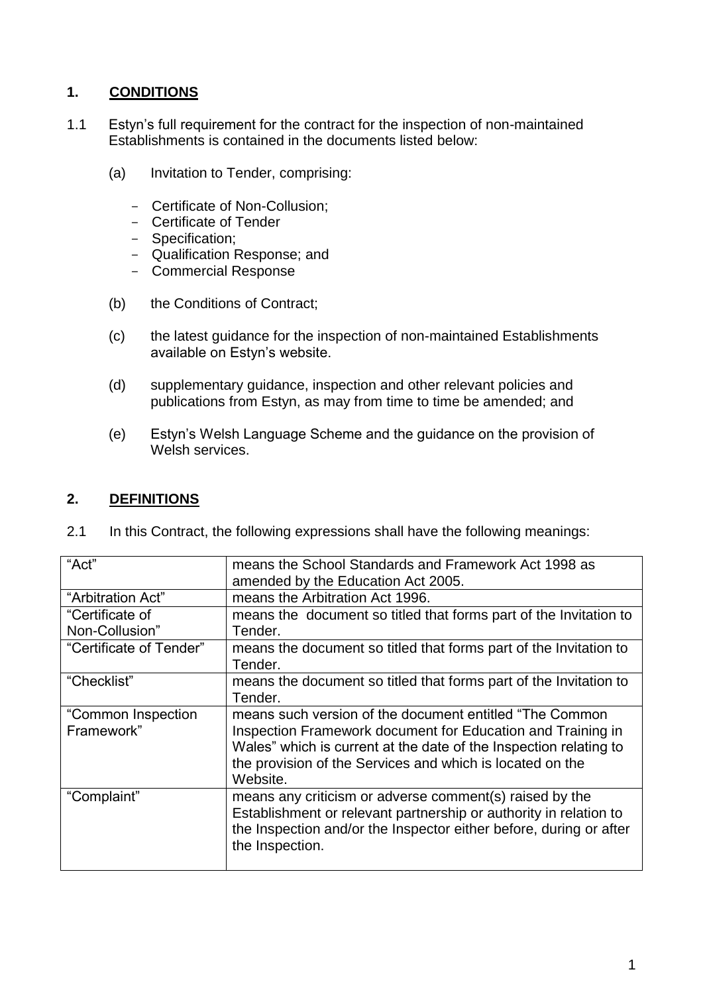# **1. CONDITIONS**

- 1.1 Estyn's full requirement for the contract for the inspection of non-maintained Establishments is contained in the documents listed below:
	- (a) Invitation to Tender, comprising:
		- Certificate of Non-Collusion;
		- Certificate of Tender
		- Specification;
		- Qualification Response; and
		- Commercial Response
	- (b) the Conditions of Contract;
	- (c) the latest guidance for the inspection of non-maintained Establishments available on Estyn's website.
	- (d) supplementary guidance, inspection and other relevant policies and publications from Estyn, as may from time to time be amended; and
	- (e) Estyn's Welsh Language Scheme and the guidance on the provision of Welsh services.

### **2. DEFINITIONS**

| "Act"                             | means the School Standards and Framework Act 1998 as<br>amended by the Education Act 2005.                                                                                                                                                                            |
|-----------------------------------|-----------------------------------------------------------------------------------------------------------------------------------------------------------------------------------------------------------------------------------------------------------------------|
| "Arbitration Act"                 | means the Arbitration Act 1996.                                                                                                                                                                                                                                       |
| "Certificate of<br>Non-Collusion" | means the document so titled that forms part of the Invitation to<br>Tender.                                                                                                                                                                                          |
| "Certificate of Tender"           | means the document so titled that forms part of the Invitation to<br>Tender.                                                                                                                                                                                          |
| "Checklist"                       | means the document so titled that forms part of the Invitation to<br>Tender.                                                                                                                                                                                          |
| "Common Inspection<br>Framework"  | means such version of the document entitled "The Common"<br>Inspection Framework document for Education and Training in<br>Wales" which is current at the date of the Inspection relating to<br>the provision of the Services and which is located on the<br>Website. |
| "Complaint"                       | means any criticism or adverse comment(s) raised by the<br>Establishment or relevant partnership or authority in relation to<br>the Inspection and/or the Inspector either before, during or after<br>the Inspection.                                                 |

2.1 In this Contract, the following expressions shall have the following meanings: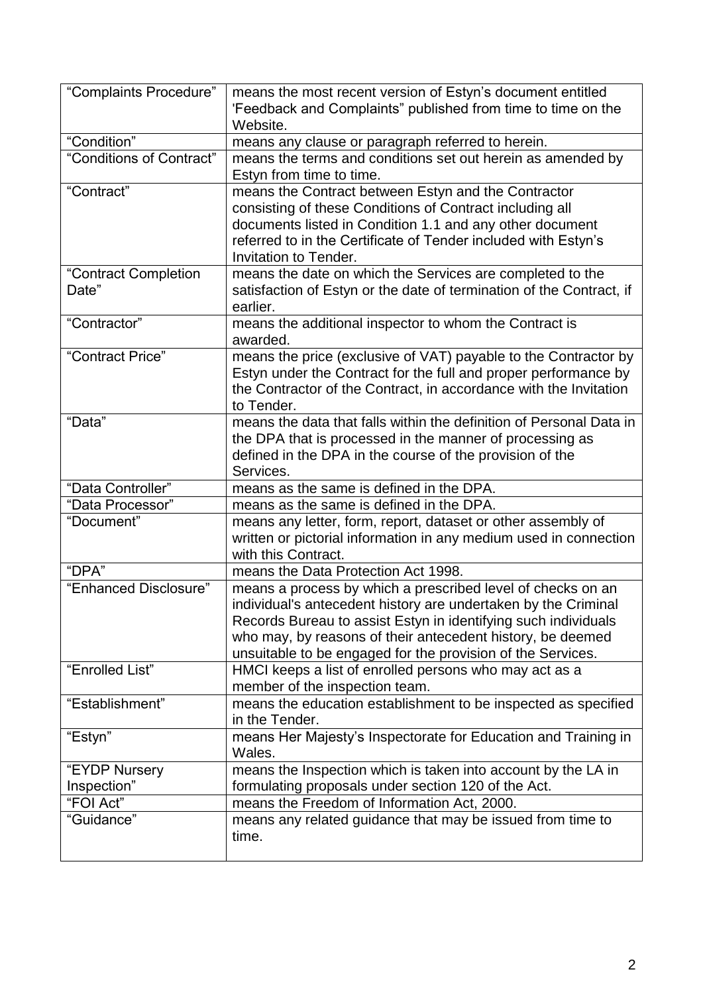| "Complaints Procedure"        | means the most recent version of Estyn's document entitled<br>'Feedback and Complaints" published from time to time on the<br>Website.                                                                                                                                                                                       |
|-------------------------------|------------------------------------------------------------------------------------------------------------------------------------------------------------------------------------------------------------------------------------------------------------------------------------------------------------------------------|
| "Condition"                   | means any clause or paragraph referred to herein.                                                                                                                                                                                                                                                                            |
| "Conditions of Contract"      | means the terms and conditions set out herein as amended by<br>Estyn from time to time.                                                                                                                                                                                                                                      |
| "Contract"                    | means the Contract between Estyn and the Contractor<br>consisting of these Conditions of Contract including all<br>documents listed in Condition 1.1 and any other document<br>referred to in the Certificate of Tender included with Estyn's<br>Invitation to Tender.                                                       |
| "Contract Completion<br>Date" | means the date on which the Services are completed to the<br>satisfaction of Estyn or the date of termination of the Contract, if<br>earlier.                                                                                                                                                                                |
| "Contractor"                  | means the additional inspector to whom the Contract is<br>awarded.                                                                                                                                                                                                                                                           |
| "Contract Price"              | means the price (exclusive of VAT) payable to the Contractor by<br>Estyn under the Contract for the full and proper performance by<br>the Contractor of the Contract, in accordance with the Invitation<br>to Tender.                                                                                                        |
| "Data"                        | means the data that falls within the definition of Personal Data in<br>the DPA that is processed in the manner of processing as<br>defined in the DPA in the course of the provision of the<br>Services.                                                                                                                     |
| "Data Controller"             | means as the same is defined in the DPA.                                                                                                                                                                                                                                                                                     |
| "Data Processor"              | means as the same is defined in the DPA.                                                                                                                                                                                                                                                                                     |
| "Document"                    | means any letter, form, report, dataset or other assembly of<br>written or pictorial information in any medium used in connection<br>with this Contract.                                                                                                                                                                     |
| "DPA"                         | means the Data Protection Act 1998.                                                                                                                                                                                                                                                                                          |
| "Enhanced Disclosure"         | means a process by which a prescribed level of checks on an<br>individual's antecedent history are undertaken by the Criminal<br>Records Bureau to assist Estyn in identifying such individuals<br>who may, by reasons of their antecedent history, be deemed<br>unsuitable to be engaged for the provision of the Services. |
| "Enrolled List"               | HMCI keeps a list of enrolled persons who may act as a<br>member of the inspection team.                                                                                                                                                                                                                                     |
| "Establishment"               | means the education establishment to be inspected as specified<br>in the Tender.                                                                                                                                                                                                                                             |
| "Estyn"                       | means Her Majesty's Inspectorate for Education and Training in<br>Wales.                                                                                                                                                                                                                                                     |
| "EYDP Nursery                 | means the Inspection which is taken into account by the LA in                                                                                                                                                                                                                                                                |
| Inspection"                   | formulating proposals under section 120 of the Act.                                                                                                                                                                                                                                                                          |
| "FOI Act"                     | means the Freedom of Information Act, 2000.                                                                                                                                                                                                                                                                                  |
| "Guidance"                    | means any related guidance that may be issued from time to<br>time.                                                                                                                                                                                                                                                          |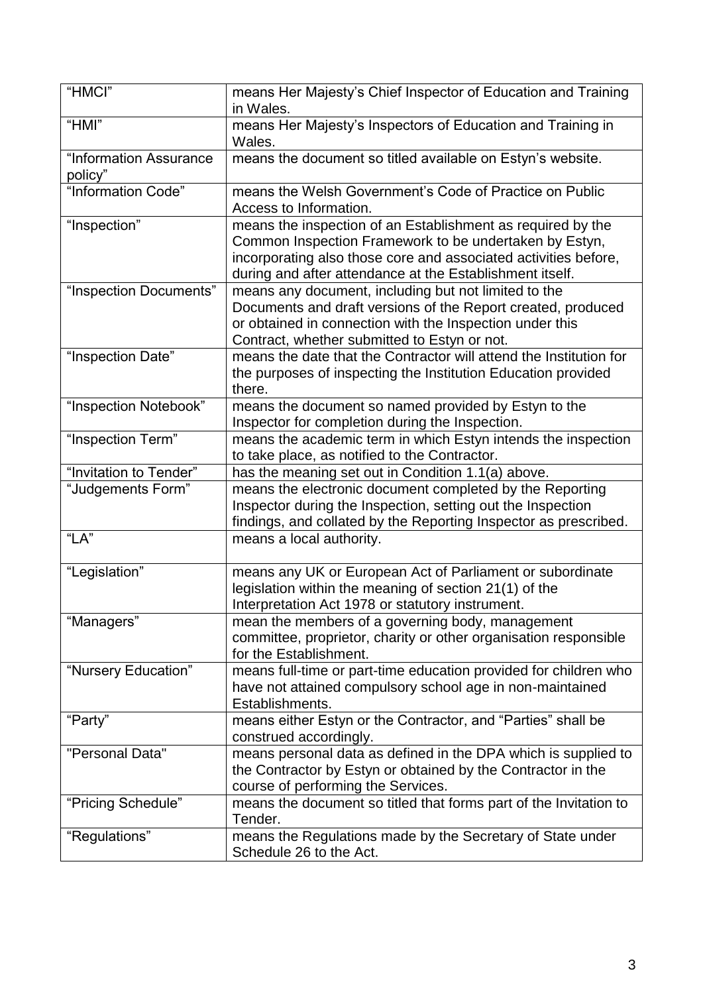| "HMCI"                            | means Her Majesty's Chief Inspector of Education and Training<br>in Wales.                                                                                                                                                                           |
|-----------------------------------|------------------------------------------------------------------------------------------------------------------------------------------------------------------------------------------------------------------------------------------------------|
| "HMI"                             | means Her Majesty's Inspectors of Education and Training in<br>Wales.                                                                                                                                                                                |
| "Information Assurance<br>policy" | means the document so titled available on Estyn's website.                                                                                                                                                                                           |
| "Information Code"                | means the Welsh Government's Code of Practice on Public<br>Access to Information.                                                                                                                                                                    |
| "Inspection"                      | means the inspection of an Establishment as required by the<br>Common Inspection Framework to be undertaken by Estyn,<br>incorporating also those core and associated activities before,<br>during and after attendance at the Establishment itself. |
| "Inspection Documents"            | means any document, including but not limited to the<br>Documents and draft versions of the Report created, produced<br>or obtained in connection with the Inspection under this<br>Contract, whether submitted to Estyn or not.                     |
| "Inspection Date"                 | means the date that the Contractor will attend the Institution for<br>the purposes of inspecting the Institution Education provided<br>there.                                                                                                        |
| "Inspection Notebook"             | means the document so named provided by Estyn to the<br>Inspector for completion during the Inspection.                                                                                                                                              |
| "Inspection Term"                 | means the academic term in which Estyn intends the inspection<br>to take place, as notified to the Contractor.                                                                                                                                       |
| "Invitation to Tender"            | has the meaning set out in Condition 1.1(a) above.                                                                                                                                                                                                   |
| "Judgements Form"                 | means the electronic document completed by the Reporting<br>Inspector during the Inspection, setting out the Inspection<br>findings, and collated by the Reporting Inspector as prescribed.                                                          |
| "LA"                              | means a local authority.                                                                                                                                                                                                                             |
| "Legislation"                     | means any UK or European Act of Parliament or subordinate<br>legislation within the meaning of section 21(1) of the<br>Interpretation Act 1978 or statutory instrument.                                                                              |
| "Managers"                        | mean the members of a governing body, management<br>committee, proprietor, charity or other organisation responsible<br>for the Establishment.                                                                                                       |
| "Nursery Education"               | means full-time or part-time education provided for children who<br>have not attained compulsory school age in non-maintained<br>Establishments.                                                                                                     |
| "Party"                           | means either Estyn or the Contractor, and "Parties" shall be<br>construed accordingly.                                                                                                                                                               |
| "Personal Data"                   | means personal data as defined in the DPA which is supplied to<br>the Contractor by Estyn or obtained by the Contractor in the<br>course of performing the Services.                                                                                 |
| "Pricing Schedule"                | means the document so titled that forms part of the Invitation to<br>Tender.                                                                                                                                                                         |
| "Regulations"                     | means the Regulations made by the Secretary of State under<br>Schedule 26 to the Act.                                                                                                                                                                |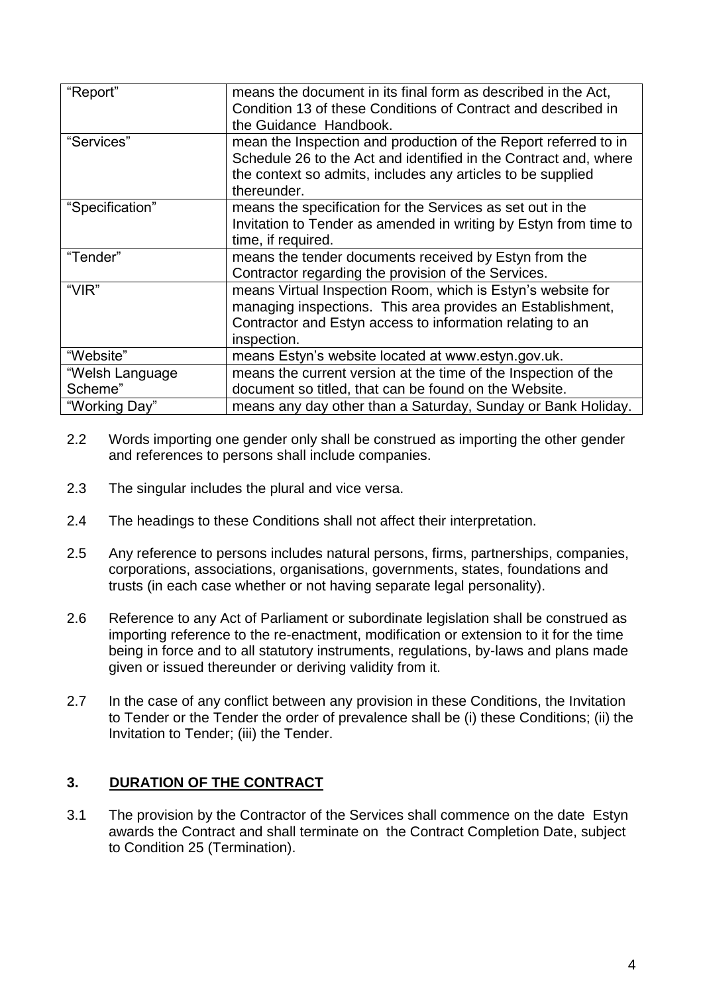| "Report"        | means the document in its final form as described in the Act,<br>Condition 13 of these Conditions of Contract and described in<br>the Guidance Handbook.                                                          |
|-----------------|-------------------------------------------------------------------------------------------------------------------------------------------------------------------------------------------------------------------|
| "Services"      | mean the Inspection and production of the Report referred to in<br>Schedule 26 to the Act and identified in the Contract and, where<br>the context so admits, includes any articles to be supplied<br>thereunder. |
| "Specification" | means the specification for the Services as set out in the<br>Invitation to Tender as amended in writing by Estyn from time to<br>time, if required.                                                              |
| "Tender"        | means the tender documents received by Estyn from the<br>Contractor regarding the provision of the Services.                                                                                                      |
| "VIR"           | means Virtual Inspection Room, which is Estyn's website for<br>managing inspections. This area provides an Establishment,<br>Contractor and Estyn access to information relating to an<br>inspection.             |
| "Website"       | means Estyn's website located at www.estyn.gov.uk.                                                                                                                                                                |
| "Welsh Language | means the current version at the time of the Inspection of the                                                                                                                                                    |
| Scheme"         | document so titled, that can be found on the Website.                                                                                                                                                             |
| "Working Day"   | means any day other than a Saturday, Sunday or Bank Holiday.                                                                                                                                                      |

- 2.2 Words importing one gender only shall be construed as importing the other gender and references to persons shall include companies.
- 2.3 The singular includes the plural and vice versa.
- 2.4 The headings to these Conditions shall not affect their interpretation.
- 2.5 Any reference to persons includes natural persons, firms, partnerships, companies, corporations, associations, organisations, governments, states, foundations and trusts (in each case whether or not having separate legal personality).
- 2.6 Reference to any Act of Parliament or subordinate legislation shall be construed as importing reference to the re-enactment, modification or extension to it for the time being in force and to all statutory instruments, regulations, by-laws and plans made given or issued thereunder or deriving validity from it.
- 2.7 In the case of any conflict between any provision in these Conditions, the Invitation to Tender or the Tender the order of prevalence shall be (i) these Conditions; (ii) the Invitation to Tender; (iii) the Tender.

### **3. DURATION OF THE CONTRACT**

3.1 The provision by the Contractor of the Services shall commence on the date Estyn awards the Contract and shall terminate on the Contract Completion Date, subject to Condition 25 (Termination).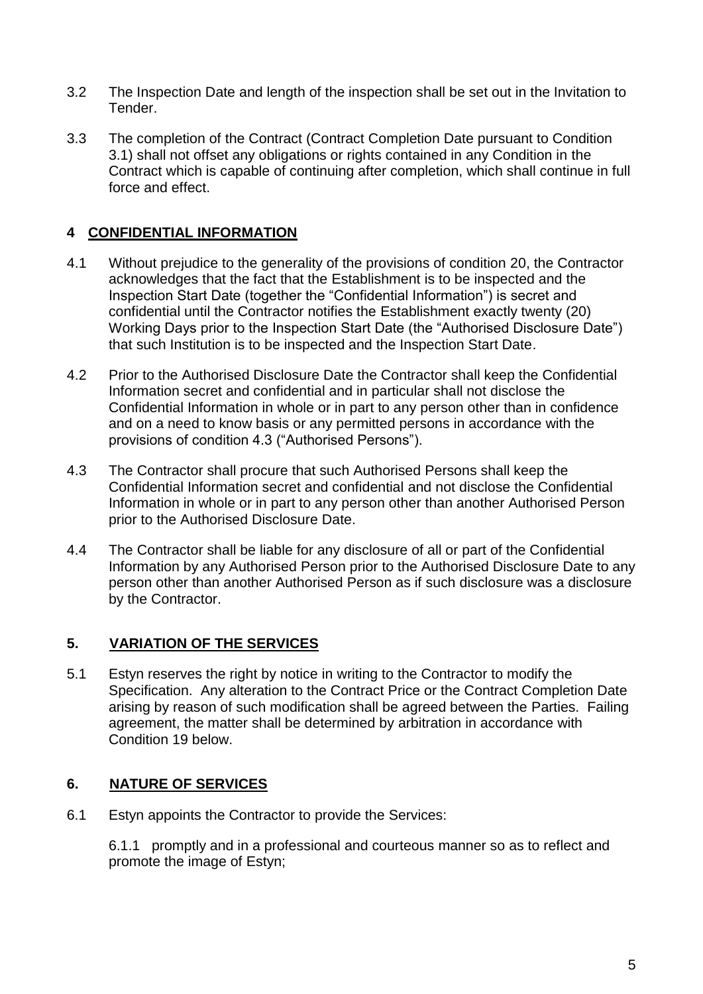- 3.2 The Inspection Date and length of the inspection shall be set out in the Invitation to Tender.
- 3.3 The completion of the Contract (Contract Completion Date pursuant to Condition 3.1) shall not offset any obligations or rights contained in any Condition in the Contract which is capable of continuing after completion, which shall continue in full force and effect.

## **4 CONFIDENTIAL INFORMATION**

- 4.1 Without prejudice to the generality of the provisions of condition 20, the Contractor acknowledges that the fact that the Establishment is to be inspected and the Inspection Start Date (together the "Confidential Information") is secret and confidential until the Contractor notifies the Establishment exactly twenty (20) Working Days prior to the Inspection Start Date (the "Authorised Disclosure Date") that such Institution is to be inspected and the Inspection Start Date.
- 4.2 Prior to the Authorised Disclosure Date the Contractor shall keep the Confidential Information secret and confidential and in particular shall not disclose the Confidential Information in whole or in part to any person other than in confidence and on a need to know basis or any permitted persons in accordance with the provisions of condition 4.3 ("Authorised Persons").
- 4.3 The Contractor shall procure that such Authorised Persons shall keep the Confidential Information secret and confidential and not disclose the Confidential Information in whole or in part to any person other than another Authorised Person prior to the Authorised Disclosure Date.
- 4.4 The Contractor shall be liable for any disclosure of all or part of the Confidential Information by any Authorised Person prior to the Authorised Disclosure Date to any person other than another Authorised Person as if such disclosure was a disclosure by the Contractor.

### **5. VARIATION OF THE SERVICES**

5.1 Estyn reserves the right by notice in writing to the Contractor to modify the Specification. Any alteration to the Contract Price or the Contract Completion Date arising by reason of such modification shall be agreed between the Parties. Failing agreement, the matter shall be determined by arbitration in accordance with Condition 19 below.

### **6. NATURE OF SERVICES**

6.1 Estyn appoints the Contractor to provide the Services:

6.1.1 promptly and in a professional and courteous manner so as to reflect and promote the image of Estyn;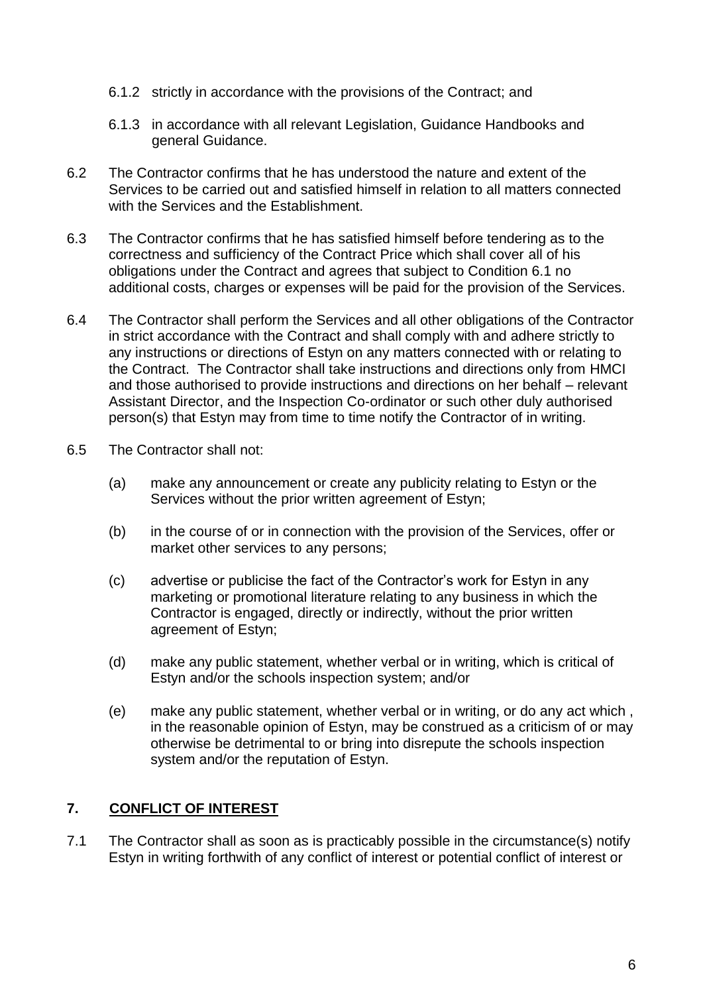- 6.1.2 strictly in accordance with the provisions of the Contract; and
- 6.1.3 in accordance with all relevant Legislation, Guidance Handbooks and general Guidance.
- 6.2 The Contractor confirms that he has understood the nature and extent of the Services to be carried out and satisfied himself in relation to all matters connected with the Services and the Establishment.
- 6.3 The Contractor confirms that he has satisfied himself before tendering as to the correctness and sufficiency of the Contract Price which shall cover all of his obligations under the Contract and agrees that subject to Condition 6.1 no additional costs, charges or expenses will be paid for the provision of the Services.
- 6.4 The Contractor shall perform the Services and all other obligations of the Contractor in strict accordance with the Contract and shall comply with and adhere strictly to any instructions or directions of Estyn on any matters connected with or relating to the Contract. The Contractor shall take instructions and directions only from HMCI and those authorised to provide instructions and directions on her behalf – relevant Assistant Director, and the Inspection Co-ordinator or such other duly authorised person(s) that Estyn may from time to time notify the Contractor of in writing.
- 6.5 The Contractor shall not:
	- (a) make any announcement or create any publicity relating to Estyn or the Services without the prior written agreement of Estyn;
	- (b) in the course of or in connection with the provision of the Services, offer or market other services to any persons;
	- (c) advertise or publicise the fact of the Contractor's work for Estyn in any marketing or promotional literature relating to any business in which the Contractor is engaged, directly or indirectly, without the prior written agreement of Estyn;
	- (d) make any public statement, whether verbal or in writing, which is critical of Estyn and/or the schools inspection system; and/or
	- (e) make any public statement, whether verbal or in writing, or do any act which , in the reasonable opinion of Estyn, may be construed as a criticism of or may otherwise be detrimental to or bring into disrepute the schools inspection system and/or the reputation of Estyn.

# **7. CONFLICT OF INTEREST**

7.1 The Contractor shall as soon as is practicably possible in the circumstance(s) notify Estyn in writing forthwith of any conflict of interest or potential conflict of interest or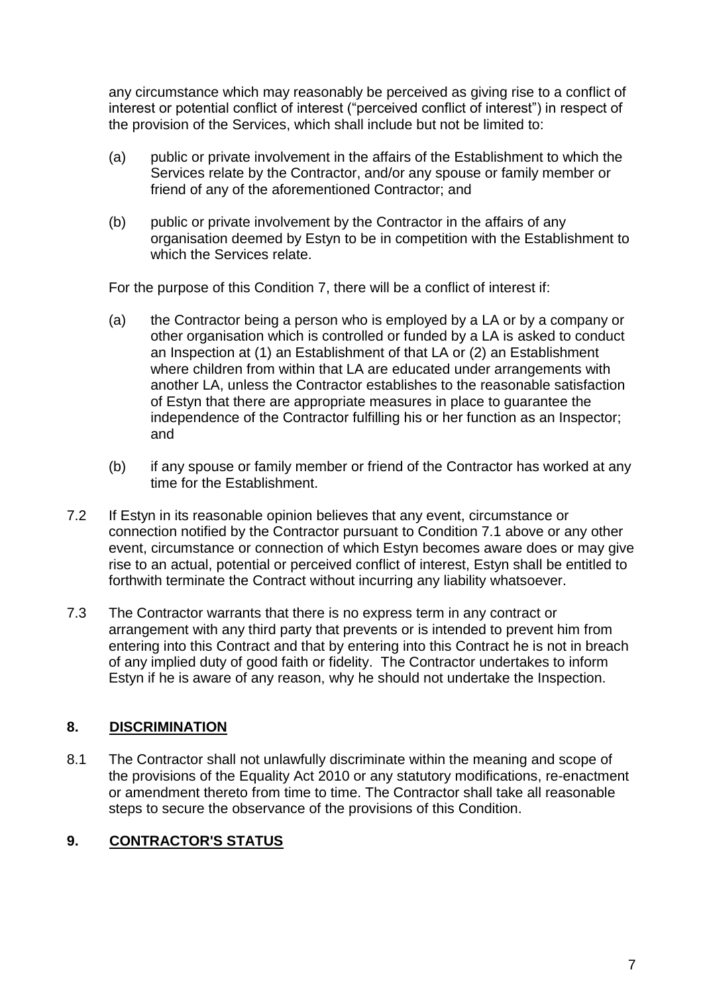any circumstance which may reasonably be perceived as giving rise to a conflict of interest or potential conflict of interest ("perceived conflict of interest") in respect of the provision of the Services, which shall include but not be limited to:

- (a) public or private involvement in the affairs of the Establishment to which the Services relate by the Contractor, and/or any spouse or family member or friend of any of the aforementioned Contractor; and
- (b) public or private involvement by the Contractor in the affairs of any organisation deemed by Estyn to be in competition with the Establishment to which the Services relate.

For the purpose of this Condition 7, there will be a conflict of interest if:

- (a) the Contractor being a person who is employed by a LA or by a company or other organisation which is controlled or funded by a LA is asked to conduct an Inspection at (1) an Establishment of that LA or (2) an Establishment where children from within that LA are educated under arrangements with another LA, unless the Contractor establishes to the reasonable satisfaction of Estyn that there are appropriate measures in place to guarantee the independence of the Contractor fulfilling his or her function as an Inspector; and
- (b) if any spouse or family member or friend of the Contractor has worked at any time for the Establishment.
- 7.2 If Estyn in its reasonable opinion believes that any event, circumstance or connection notified by the Contractor pursuant to Condition 7.1 above or any other event, circumstance or connection of which Estyn becomes aware does or may give rise to an actual, potential or perceived conflict of interest, Estyn shall be entitled to forthwith terminate the Contract without incurring any liability whatsoever.
- 7.3 The Contractor warrants that there is no express term in any contract or arrangement with any third party that prevents or is intended to prevent him from entering into this Contract and that by entering into this Contract he is not in breach of any implied duty of good faith or fidelity. The Contractor undertakes to inform Estyn if he is aware of any reason, why he should not undertake the Inspection.

# **8. DISCRIMINATION**

8.1 The Contractor shall not unlawfully discriminate within the meaning and scope of the provisions of the Equality Act 2010 or any statutory modifications, re-enactment or amendment thereto from time to time. The Contractor shall take all reasonable steps to secure the observance of the provisions of this Condition.

# **9. CONTRACTOR'S STATUS**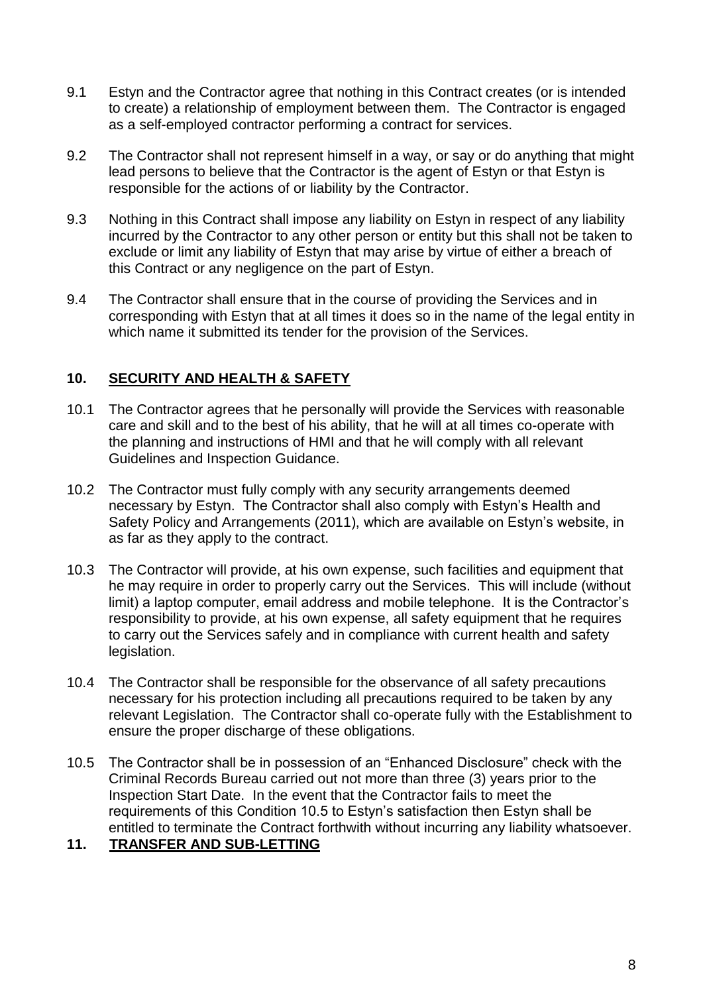- 9.1 Estyn and the Contractor agree that nothing in this Contract creates (or is intended to create) a relationship of employment between them. The Contractor is engaged as a self-employed contractor performing a contract for services.
- 9.2 The Contractor shall not represent himself in a way, or say or do anything that might lead persons to believe that the Contractor is the agent of Estyn or that Estyn is responsible for the actions of or liability by the Contractor.
- 9.3 Nothing in this Contract shall impose any liability on Estyn in respect of any liability incurred by the Contractor to any other person or entity but this shall not be taken to exclude or limit any liability of Estyn that may arise by virtue of either a breach of this Contract or any negligence on the part of Estyn.
- 9.4 The Contractor shall ensure that in the course of providing the Services and in corresponding with Estyn that at all times it does so in the name of the legal entity in which name it submitted its tender for the provision of the Services.

## **10. SECURITY AND HEALTH & SAFETY**

- 10.1 The Contractor agrees that he personally will provide the Services with reasonable care and skill and to the best of his ability, that he will at all times co-operate with the planning and instructions of HMI and that he will comply with all relevant Guidelines and Inspection Guidance.
- 10.2 The Contractor must fully comply with any security arrangements deemed necessary by Estyn. The Contractor shall also comply with Estyn's Health and Safety Policy and Arrangements (2011), which are available on Estyn's website, in as far as they apply to the contract.
- 10.3 The Contractor will provide, at his own expense, such facilities and equipment that he may require in order to properly carry out the Services. This will include (without limit) a laptop computer, email address and mobile telephone. It is the Contractor's responsibility to provide, at his own expense, all safety equipment that he requires to carry out the Services safely and in compliance with current health and safety legislation.
- 10.4 The Contractor shall be responsible for the observance of all safety precautions necessary for his protection including all precautions required to be taken by any relevant Legislation. The Contractor shall co-operate fully with the Establishment to ensure the proper discharge of these obligations.
- 10.5 The Contractor shall be in possession of an "Enhanced Disclosure" check with the Criminal Records Bureau carried out not more than three (3) years prior to the Inspection Start Date. In the event that the Contractor fails to meet the requirements of this Condition 10.5 to Estyn's satisfaction then Estyn shall be entitled to terminate the Contract forthwith without incurring any liability whatsoever.

### **11. TRANSFER AND SUB-LETTING**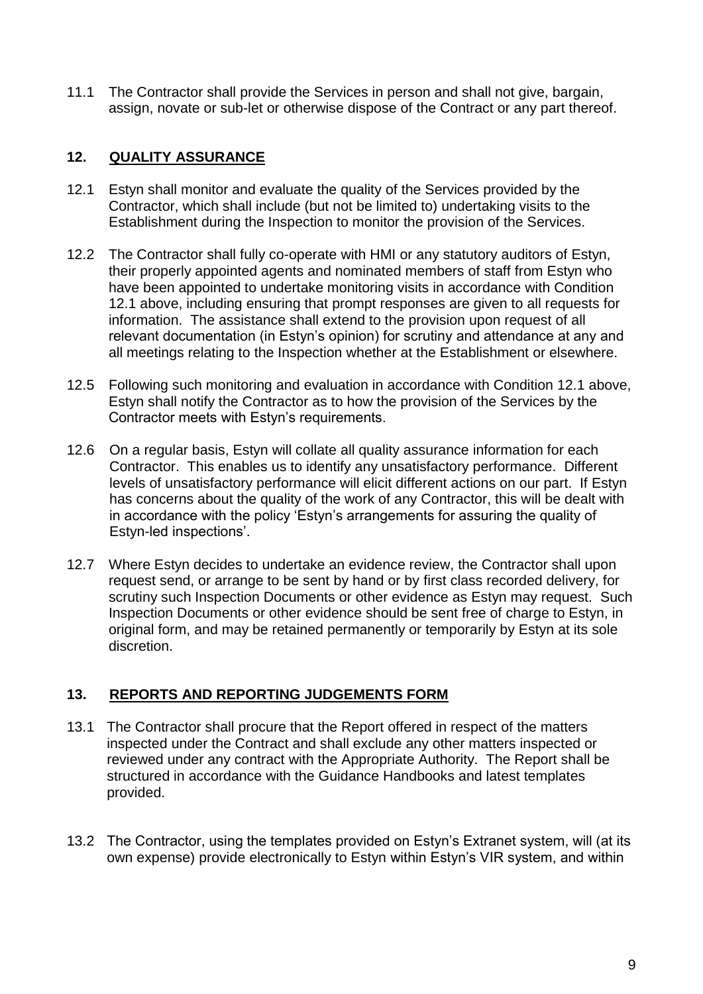11.1 The Contractor shall provide the Services in person and shall not give, bargain, assign, novate or sub-let or otherwise dispose of the Contract or any part thereof.

### **12. QUALITY ASSURANCE**

- 12.1 Estyn shall monitor and evaluate the quality of the Services provided by the Contractor, which shall include (but not be limited to) undertaking visits to the Establishment during the Inspection to monitor the provision of the Services.
- 12.2 The Contractor shall fully co-operate with HMI or any statutory auditors of Estyn, their properly appointed agents and nominated members of staff from Estyn who have been appointed to undertake monitoring visits in accordance with Condition 12.1 above, including ensuring that prompt responses are given to all requests for information. The assistance shall extend to the provision upon request of all relevant documentation (in Estyn's opinion) for scrutiny and attendance at any and all meetings relating to the Inspection whether at the Establishment or elsewhere.
- 12.5 Following such monitoring and evaluation in accordance with Condition 12.1 above, Estyn shall notify the Contractor as to how the provision of the Services by the Contractor meets with Estyn's requirements.
- 12.6 On a regular basis, Estyn will collate all quality assurance information for each Contractor. This enables us to identify any unsatisfactory performance. Different levels of unsatisfactory performance will elicit different actions on our part. If Estyn has concerns about the quality of the work of any Contractor, this will be dealt with in accordance with the policy 'Estyn's arrangements for assuring the quality of Estyn-led inspections'.
- 12.7 Where Estyn decides to undertake an evidence review, the Contractor shall upon request send, or arrange to be sent by hand or by first class recorded delivery, for scrutiny such Inspection Documents or other evidence as Estyn may request. Such Inspection Documents or other evidence should be sent free of charge to Estyn, in original form, and may be retained permanently or temporarily by Estyn at its sole discretion.

### **13. REPORTS AND REPORTING JUDGEMENTS FORM**

- 13.1 The Contractor shall procure that the Report offered in respect of the matters inspected under the Contract and shall exclude any other matters inspected or reviewed under any contract with the Appropriate Authority. The Report shall be structured in accordance with the Guidance Handbooks and latest templates provided.
- 13.2 The Contractor, using the templates provided on Estyn's Extranet system, will (at its own expense) provide electronically to Estyn within Estyn's VIR system, and within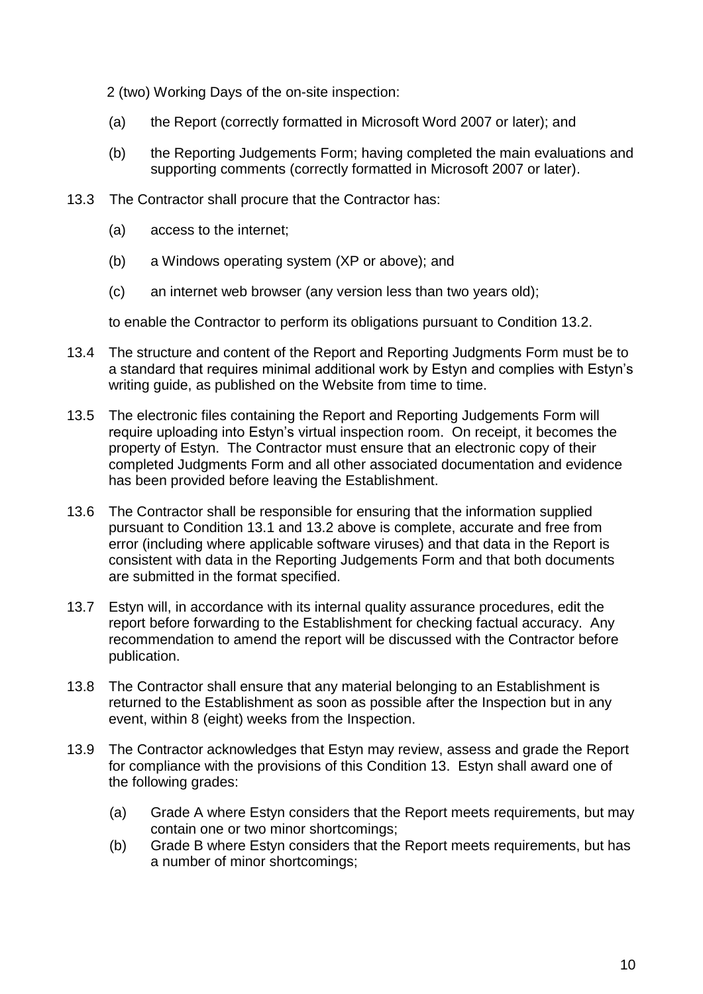2 (two) Working Days of the on-site inspection:

- (a) the Report (correctly formatted in Microsoft Word 2007 or later); and
- (b) the Reporting Judgements Form; having completed the main evaluations and supporting comments (correctly formatted in Microsoft 2007 or later).
- 13.3 The Contractor shall procure that the Contractor has:
	- (a) access to the internet;
	- (b) a Windows operating system (XP or above); and
	- (c) an internet web browser (any version less than two years old);

to enable the Contractor to perform its obligations pursuant to Condition 13.2.

- 13.4 The structure and content of the Report and Reporting Judgments Form must be to a standard that requires minimal additional work by Estyn and complies with Estyn's writing guide, as published on the Website from time to time.
- 13.5 The electronic files containing the Report and Reporting Judgements Form will require uploading into Estyn's virtual inspection room. On receipt, it becomes the property of Estyn. The Contractor must ensure that an electronic copy of their completed Judgments Form and all other associated documentation and evidence has been provided before leaving the Establishment.
- 13.6 The Contractor shall be responsible for ensuring that the information supplied pursuant to Condition 13.1 and 13.2 above is complete, accurate and free from error (including where applicable software viruses) and that data in the Report is consistent with data in the Reporting Judgements Form and that both documents are submitted in the format specified.
- 13.7 Estyn will, in accordance with its internal quality assurance procedures, edit the report before forwarding to the Establishment for checking factual accuracy. Any recommendation to amend the report will be discussed with the Contractor before publication.
- 13.8 The Contractor shall ensure that any material belonging to an Establishment is returned to the Establishment as soon as possible after the Inspection but in any event, within 8 (eight) weeks from the Inspection.
- 13.9 The Contractor acknowledges that Estyn may review, assess and grade the Report for compliance with the provisions of this Condition 13. Estyn shall award one of the following grades:
	- (a) Grade A where Estyn considers that the Report meets requirements, but may contain one or two minor shortcomings;
	- (b) Grade B where Estyn considers that the Report meets requirements, but has a number of minor shortcomings;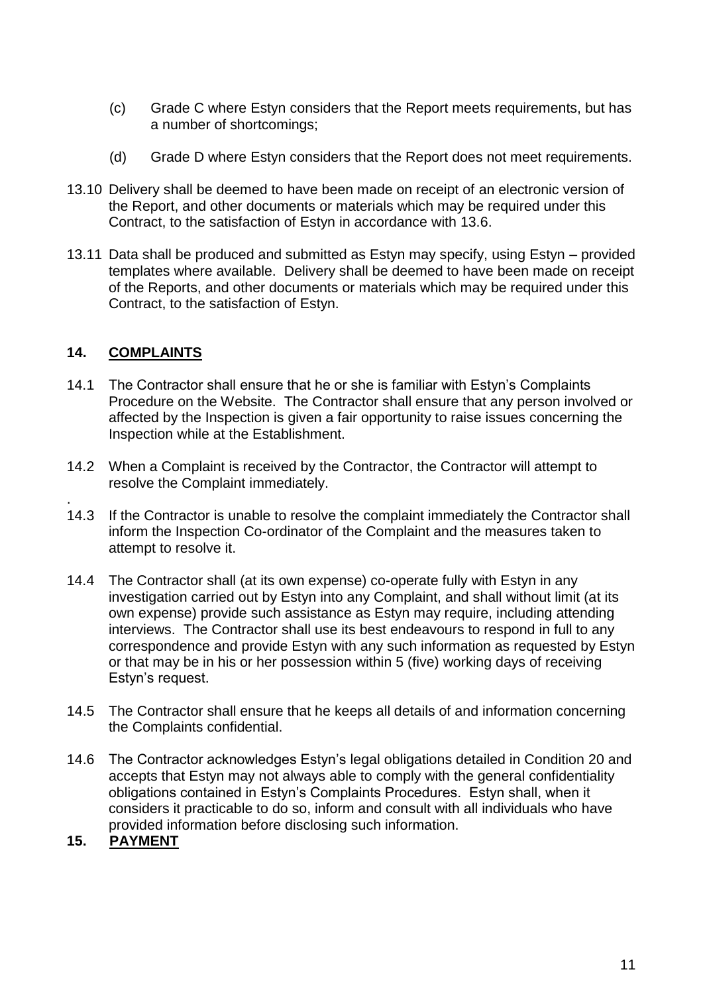- (c) Grade C where Estyn considers that the Report meets requirements, but has a number of shortcomings;
- (d) Grade D where Estyn considers that the Report does not meet requirements.
- 13.10 Delivery shall be deemed to have been made on receipt of an electronic version of the Report, and other documents or materials which may be required under this Contract, to the satisfaction of Estyn in accordance with 13.6.
- 13.11 Data shall be produced and submitted as Estyn may specify, using Estyn provided templates where available. Delivery shall be deemed to have been made on receipt of the Reports, and other documents or materials which may be required under this Contract, to the satisfaction of Estyn.

### **14. COMPLAINTS**

- 14.1 The Contractor shall ensure that he or she is familiar with Estyn's Complaints Procedure on the Website. The Contractor shall ensure that any person involved or affected by the Inspection is given a fair opportunity to raise issues concerning the Inspection while at the Establishment.
- 14.2 When a Complaint is received by the Contractor, the Contractor will attempt to resolve the Complaint immediately.
- . 14.3 If the Contractor is unable to resolve the complaint immediately the Contractor shall inform the Inspection Co-ordinator of the Complaint and the measures taken to attempt to resolve it.
- 14.4 The Contractor shall (at its own expense) co-operate fully with Estyn in any investigation carried out by Estyn into any Complaint, and shall without limit (at its own expense) provide such assistance as Estyn may require, including attending interviews. The Contractor shall use its best endeavours to respond in full to any correspondence and provide Estyn with any such information as requested by Estyn or that may be in his or her possession within 5 (five) working days of receiving Estyn's request.
- 14.5 The Contractor shall ensure that he keeps all details of and information concerning the Complaints confidential.
- 14.6 The Contractor acknowledges Estyn's legal obligations detailed in Condition 20 and accepts that Estyn may not always able to comply with the general confidentiality obligations contained in Estyn's Complaints Procedures. Estyn shall, when it considers it practicable to do so, inform and consult with all individuals who have provided information before disclosing such information.
- **15. PAYMENT**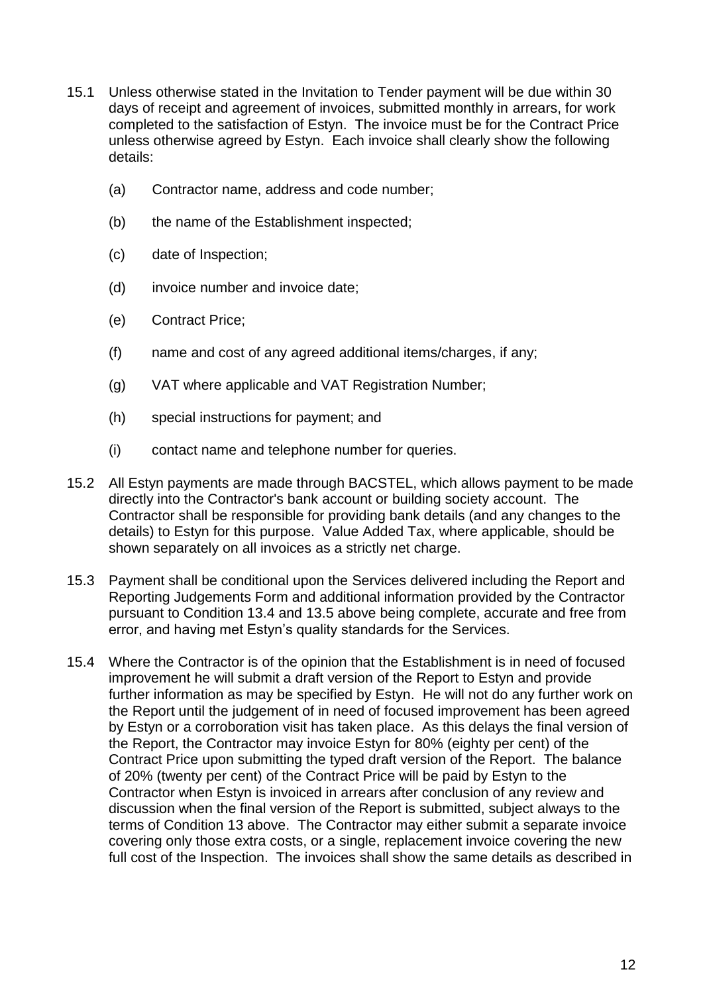- 15.1 Unless otherwise stated in the Invitation to Tender payment will be due within 30 days of receipt and agreement of invoices, submitted monthly in arrears, for work completed to the satisfaction of Estyn. The invoice must be for the Contract Price unless otherwise agreed by Estyn. Each invoice shall clearly show the following details:
	- (a) Contractor name, address and code number;
	- (b) the name of the Establishment inspected;
	- (c) date of Inspection;
	- (d) invoice number and invoice date;
	- (e) Contract Price;
	- (f) name and cost of any agreed additional items/charges, if any;
	- (g) VAT where applicable and VAT Registration Number;
	- (h) special instructions for payment; and
	- (i) contact name and telephone number for queries.
- 15.2 All Estyn payments are made through BACSTEL, which allows payment to be made directly into the Contractor's bank account or building society account. The Contractor shall be responsible for providing bank details (and any changes to the details) to Estyn for this purpose. Value Added Tax, where applicable, should be shown separately on all invoices as a strictly net charge.
- 15.3 Payment shall be conditional upon the Services delivered including the Report and Reporting Judgements Form and additional information provided by the Contractor pursuant to Condition 13.4 and 13.5 above being complete, accurate and free from error, and having met Estyn's quality standards for the Services.
- 15.4 Where the Contractor is of the opinion that the Establishment is in need of focused improvement he will submit a draft version of the Report to Estyn and provide further information as may be specified by Estyn. He will not do any further work on the Report until the judgement of in need of focused improvement has been agreed by Estyn or a corroboration visit has taken place. As this delays the final version of the Report, the Contractor may invoice Estyn for 80% (eighty per cent) of the Contract Price upon submitting the typed draft version of the Report. The balance of 20% (twenty per cent) of the Contract Price will be paid by Estyn to the Contractor when Estyn is invoiced in arrears after conclusion of any review and discussion when the final version of the Report is submitted, subject always to the terms of Condition 13 above. The Contractor may either submit a separate invoice covering only those extra costs, or a single, replacement invoice covering the new full cost of the Inspection. The invoices shall show the same details as described in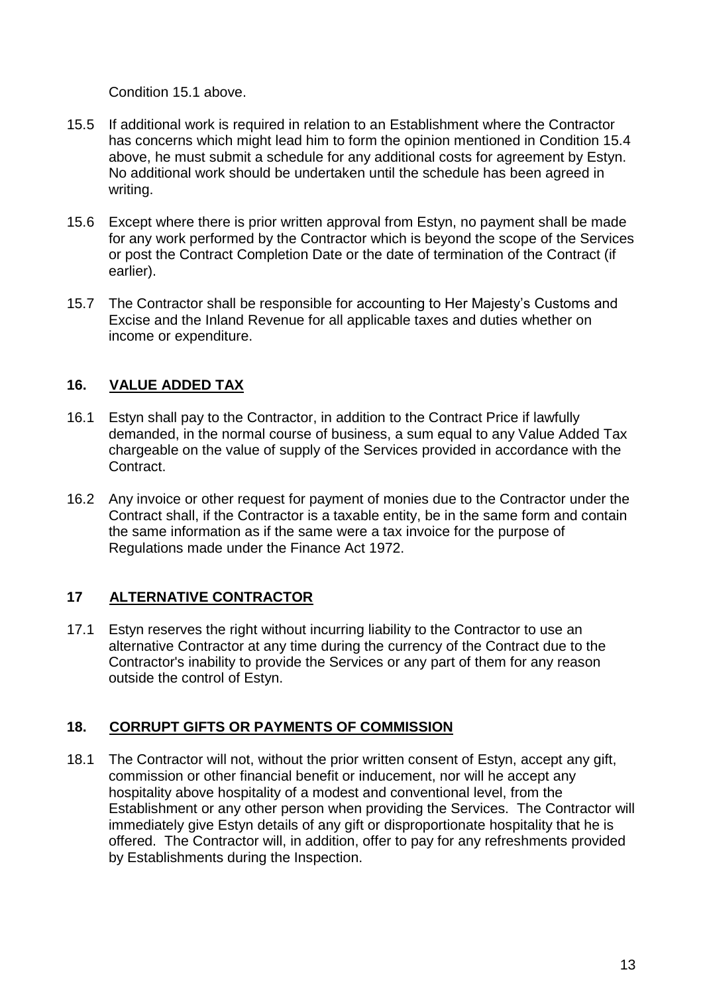Condition 15.1 above.

- 15.5 If additional work is required in relation to an Establishment where the Contractor has concerns which might lead him to form the opinion mentioned in Condition 15.4 above, he must submit a schedule for any additional costs for agreement by Estyn. No additional work should be undertaken until the schedule has been agreed in writing.
- 15.6 Except where there is prior written approval from Estyn, no payment shall be made for any work performed by the Contractor which is beyond the scope of the Services or post the Contract Completion Date or the date of termination of the Contract (if earlier).
- 15.7 The Contractor shall be responsible for accounting to Her Majesty's Customs and Excise and the Inland Revenue for all applicable taxes and duties whether on income or expenditure.

# **16. VALUE ADDED TAX**

- 16.1 Estyn shall pay to the Contractor, in addition to the Contract Price if lawfully demanded, in the normal course of business, a sum equal to any Value Added Tax chargeable on the value of supply of the Services provided in accordance with the Contract.
- 16.2 Any invoice or other request for payment of monies due to the Contractor under the Contract shall, if the Contractor is a taxable entity, be in the same form and contain the same information as if the same were a tax invoice for the purpose of Regulations made under the Finance Act 1972.

# **17 ALTERNATIVE CONTRACTOR**

17.1 Estyn reserves the right without incurring liability to the Contractor to use an alternative Contractor at any time during the currency of the Contract due to the Contractor's inability to provide the Services or any part of them for any reason outside the control of Estyn.

### **18. CORRUPT GIFTS OR PAYMENTS OF COMMISSION**

18.1 The Contractor will not, without the prior written consent of Estyn, accept any gift, commission or other financial benefit or inducement, nor will he accept any hospitality above hospitality of a modest and conventional level, from the Establishment or any other person when providing the Services. The Contractor will immediately give Estyn details of any gift or disproportionate hospitality that he is offered. The Contractor will, in addition, offer to pay for any refreshments provided by Establishments during the Inspection.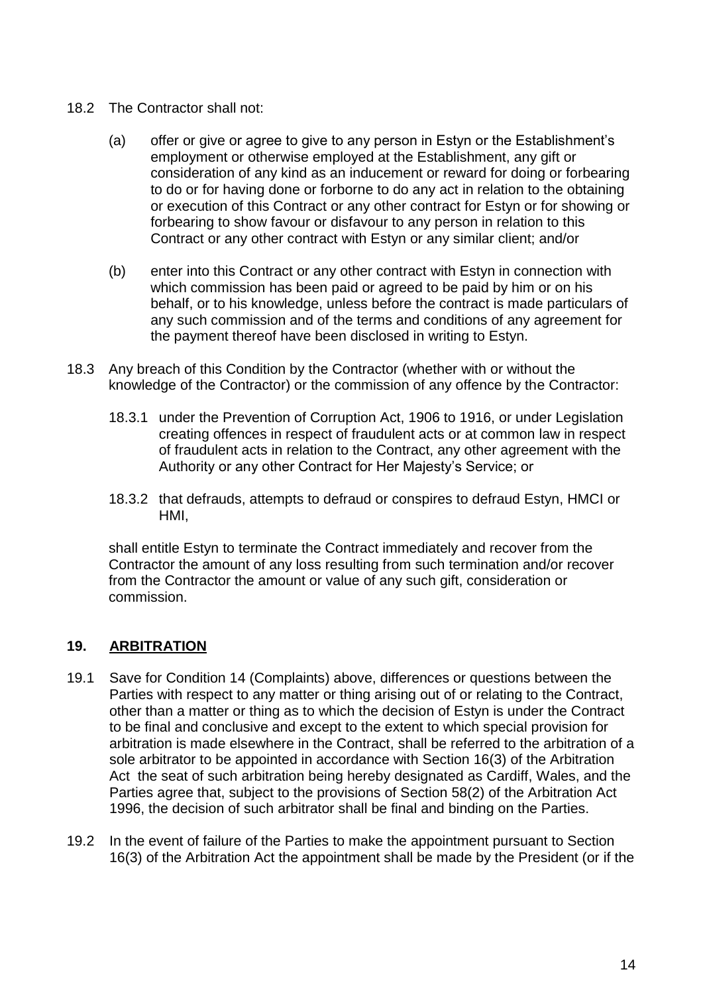- 18.2 The Contractor shall not:
	- (a) offer or give or agree to give to any person in Estyn or the Establishment's employment or otherwise employed at the Establishment, any gift or consideration of any kind as an inducement or reward for doing or forbearing to do or for having done or forborne to do any act in relation to the obtaining or execution of this Contract or any other contract for Estyn or for showing or forbearing to show favour or disfavour to any person in relation to this Contract or any other contract with Estyn or any similar client; and/or
	- (b) enter into this Contract or any other contract with Estyn in connection with which commission has been paid or agreed to be paid by him or on his behalf, or to his knowledge, unless before the contract is made particulars of any such commission and of the terms and conditions of any agreement for the payment thereof have been disclosed in writing to Estyn.
- 18.3 Any breach of this Condition by the Contractor (whether with or without the knowledge of the Contractor) or the commission of any offence by the Contractor:
	- 18.3.1 under the Prevention of Corruption Act, 1906 to 1916, or under Legislation creating offences in respect of fraudulent acts or at common law in respect of fraudulent acts in relation to the Contract, any other agreement with the Authority or any other Contract for Her Majesty's Service; or
	- 18.3.2 that defrauds, attempts to defraud or conspires to defraud Estyn, HMCI or HMI,

shall entitle Estyn to terminate the Contract immediately and recover from the Contractor the amount of any loss resulting from such termination and/or recover from the Contractor the amount or value of any such gift, consideration or commission.

# **19. ARBITRATION**

- 19.1 Save for Condition 14 (Complaints) above, differences or questions between the Parties with respect to any matter or thing arising out of or relating to the Contract, other than a matter or thing as to which the decision of Estyn is under the Contract to be final and conclusive and except to the extent to which special provision for arbitration is made elsewhere in the Contract, shall be referred to the arbitration of a sole arbitrator to be appointed in accordance with Section 16(3) of the Arbitration Act the seat of such arbitration being hereby designated as Cardiff, Wales, and the Parties agree that, subject to the provisions of Section 58(2) of the Arbitration Act 1996, the decision of such arbitrator shall be final and binding on the Parties.
- 19.2 In the event of failure of the Parties to make the appointment pursuant to Section 16(3) of the Arbitration Act the appointment shall be made by the President (or if the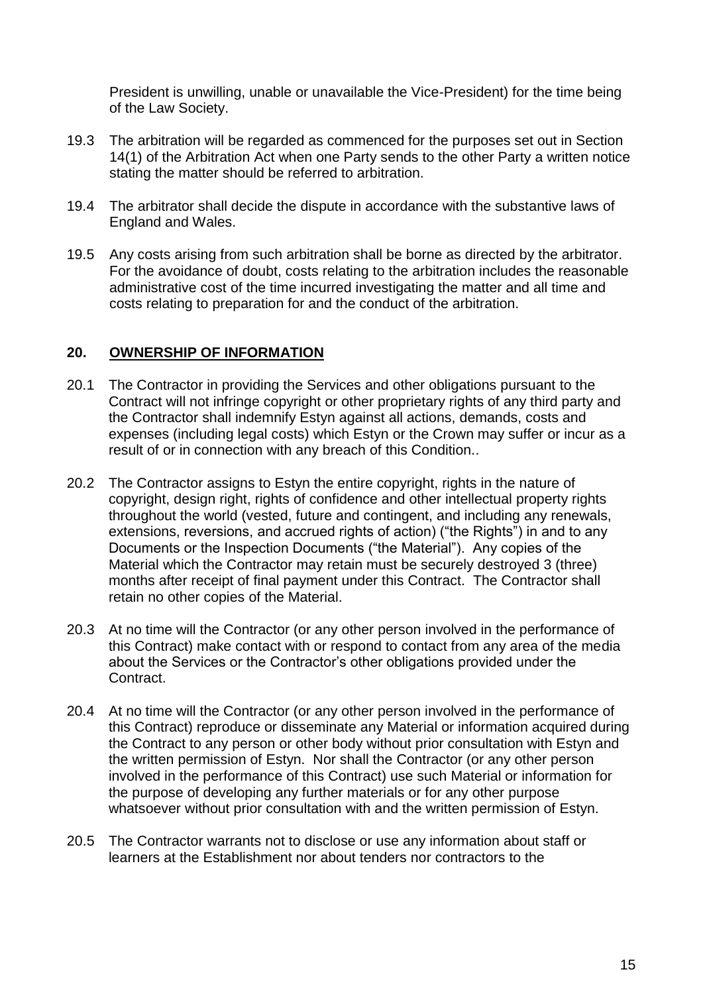President is unwilling, unable or unavailable the Vice-President) for the time being of the Law Society.

- 19.3 The arbitration will be regarded as commenced for the purposes set out in Section 14(1) of the Arbitration Act when one Party sends to the other Party a written notice stating the matter should be referred to arbitration.
- 19.4 The arbitrator shall decide the dispute in accordance with the substantive laws of England and Wales.
- 19.5 Any costs arising from such arbitration shall be borne as directed by the arbitrator. For the avoidance of doubt, costs relating to the arbitration includes the reasonable administrative cost of the time incurred investigating the matter and all time and costs relating to preparation for and the conduct of the arbitration.

### **20. OWNERSHIP OF INFORMATION**

- 20.1 The Contractor in providing the Services and other obligations pursuant to the Contract will not infringe copyright or other proprietary rights of any third party and the Contractor shall indemnify Estyn against all actions, demands, costs and expenses (including legal costs) which Estyn or the Crown may suffer or incur as a result of or in connection with any breach of this Condition..
- 20.2 The Contractor assigns to Estyn the entire copyright, rights in the nature of copyright, design right, rights of confidence and other intellectual property rights throughout the world (vested, future and contingent, and including any renewals, extensions, reversions, and accrued rights of action) ("the Rights") in and to any Documents or the Inspection Documents ("the Material"). Any copies of the Material which the Contractor may retain must be securely destroyed 3 (three) months after receipt of final payment under this Contract. The Contractor shall retain no other copies of the Material.
- 20.3 At no time will the Contractor (or any other person involved in the performance of this Contract) make contact with or respond to contact from any area of the media about the Services or the Contractor's other obligations provided under the Contract.
- 20.4 At no time will the Contractor (or any other person involved in the performance of this Contract) reproduce or disseminate any Material or information acquired during the Contract to any person or other body without prior consultation with Estyn and the written permission of Estyn. Nor shall the Contractor (or any other person involved in the performance of this Contract) use such Material or information for the purpose of developing any further materials or for any other purpose whatsoever without prior consultation with and the written permission of Estyn.
- 20.5 The Contractor warrants not to disclose or use any information about staff or learners at the Establishment nor about tenders nor contractors to the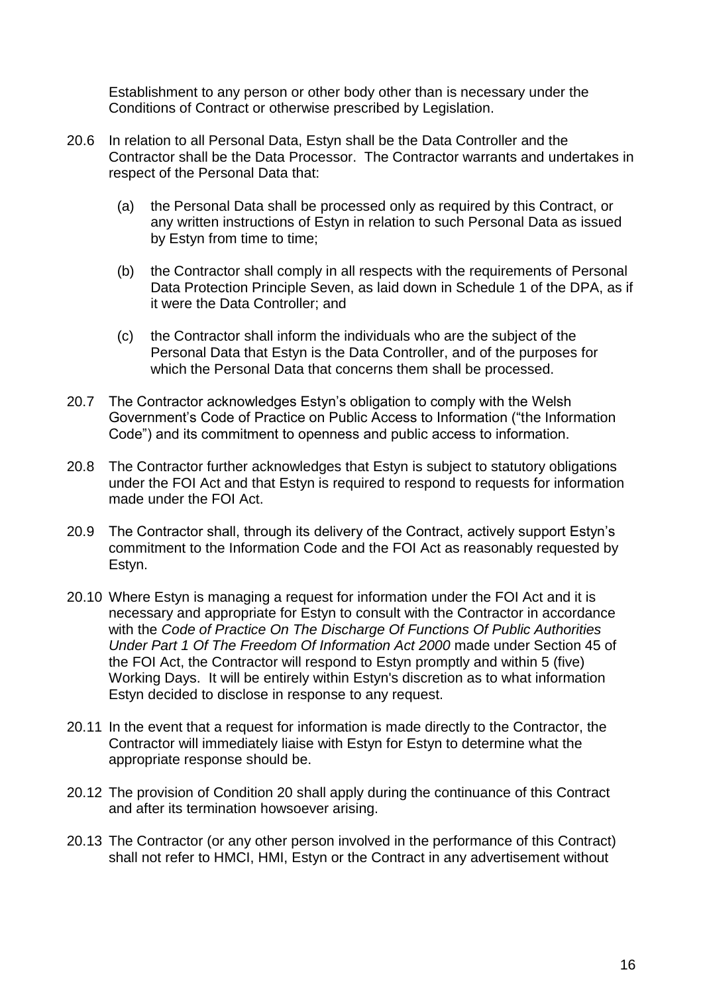Establishment to any person or other body other than is necessary under the Conditions of Contract or otherwise prescribed by Legislation.

- 20.6 In relation to all Personal Data, Estyn shall be the Data Controller and the Contractor shall be the Data Processor. The Contractor warrants and undertakes in respect of the Personal Data that:
	- (a) the Personal Data shall be processed only as required by this Contract, or any written instructions of Estyn in relation to such Personal Data as issued by Estyn from time to time;
	- (b) the Contractor shall comply in all respects with the requirements of Personal Data Protection Principle Seven, as laid down in Schedule 1 of the DPA, as if it were the Data Controller; and
	- (c) the Contractor shall inform the individuals who are the subject of the Personal Data that Estyn is the Data Controller, and of the purposes for which the Personal Data that concerns them shall be processed.
- 20.7 The Contractor acknowledges Estyn's obligation to comply with the Welsh Government's Code of Practice on Public Access to Information ("the Information Code") and its commitment to openness and public access to information.
- 20.8 The Contractor further acknowledges that Estyn is subject to statutory obligations under the FOI Act and that Estyn is required to respond to requests for information made under the FOI Act.
- 20.9 The Contractor shall, through its delivery of the Contract, actively support Estyn's commitment to the Information Code and the FOI Act as reasonably requested by Estyn.
- 20.10 Where Estyn is managing a request for information under the FOI Act and it is necessary and appropriate for Estyn to consult with the Contractor in accordance with the *Code of Practice On The Discharge Of Functions Of Public Authorities Under Part 1 Of The Freedom Of Information Act 2000* made under Section 45 of the FOI Act, the Contractor will respond to Estyn promptly and within 5 (five) Working Days. It will be entirely within Estyn's discretion as to what information Estyn decided to disclose in response to any request.
- 20.11 In the event that a request for information is made directly to the Contractor, the Contractor will immediately liaise with Estyn for Estyn to determine what the appropriate response should be.
- 20.12 The provision of Condition 20 shall apply during the continuance of this Contract and after its termination howsoever arising.
- 20.13 The Contractor (or any other person involved in the performance of this Contract) shall not refer to HMCI, HMI, Estyn or the Contract in any advertisement without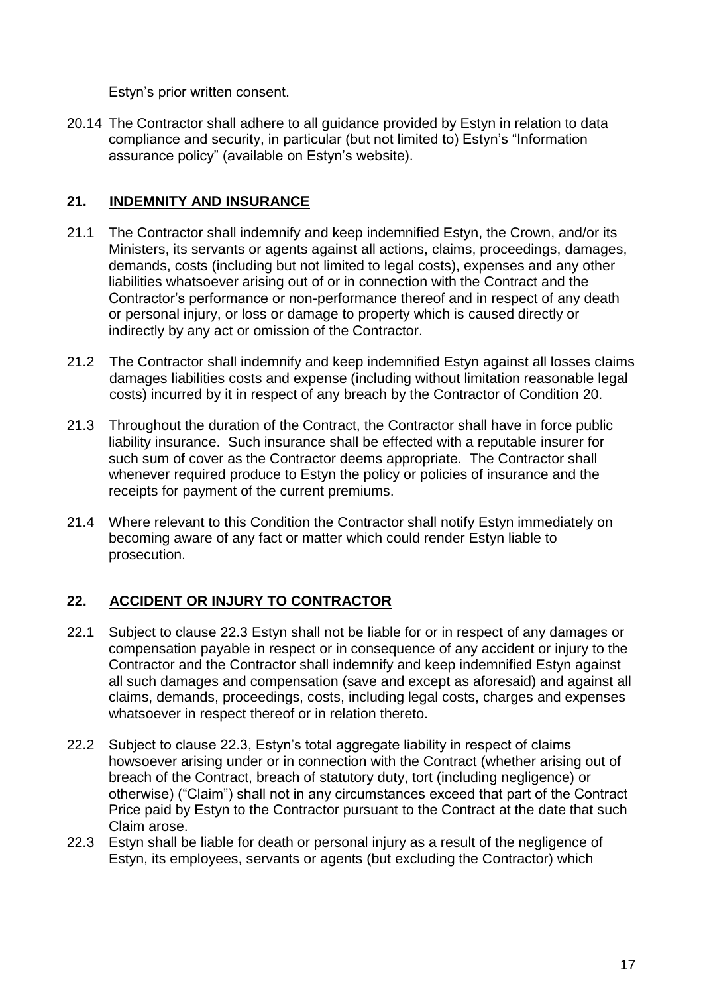Estyn's prior written consent.

20.14 The Contractor shall adhere to all guidance provided by Estyn in relation to data compliance and security, in particular (but not limited to) Estyn's "Information assurance policy" (available on Estyn's website).

## **21. INDEMNITY AND INSURANCE**

- 21.1 The Contractor shall indemnify and keep indemnified Estyn, the Crown, and/or its Ministers, its servants or agents against all actions, claims, proceedings, damages, demands, costs (including but not limited to legal costs), expenses and any other liabilities whatsoever arising out of or in connection with the Contract and the Contractor's performance or non-performance thereof and in respect of any death or personal injury, or loss or damage to property which is caused directly or indirectly by any act or omission of the Contractor.
- 21.2 The Contractor shall indemnify and keep indemnified Estyn against all losses claims damages liabilities costs and expense (including without limitation reasonable legal costs) incurred by it in respect of any breach by the Contractor of Condition 20.
- 21.3 Throughout the duration of the Contract, the Contractor shall have in force public liability insurance. Such insurance shall be effected with a reputable insurer for such sum of cover as the Contractor deems appropriate. The Contractor shall whenever required produce to Estyn the policy or policies of insurance and the receipts for payment of the current premiums.
- 21.4 Where relevant to this Condition the Contractor shall notify Estyn immediately on becoming aware of any fact or matter which could render Estyn liable to prosecution.

# **22. ACCIDENT OR INJURY TO CONTRACTOR**

- 22.1 Subject to clause 22.3 Estyn shall not be liable for or in respect of any damages or compensation payable in respect or in consequence of any accident or injury to the Contractor and the Contractor shall indemnify and keep indemnified Estyn against all such damages and compensation (save and except as aforesaid) and against all claims, demands, proceedings, costs, including legal costs, charges and expenses whatsoever in respect thereof or in relation thereto.
- 22.2 Subject to clause 22.3, Estyn's total aggregate liability in respect of claims howsoever arising under or in connection with the Contract (whether arising out of breach of the Contract, breach of statutory duty, tort (including negligence) or otherwise) ("Claim") shall not in any circumstances exceed that part of the Contract Price paid by Estyn to the Contractor pursuant to the Contract at the date that such Claim arose.
- 22.3 Estyn shall be liable for death or personal injury as a result of the negligence of Estyn, its employees, servants or agents (but excluding the Contractor) which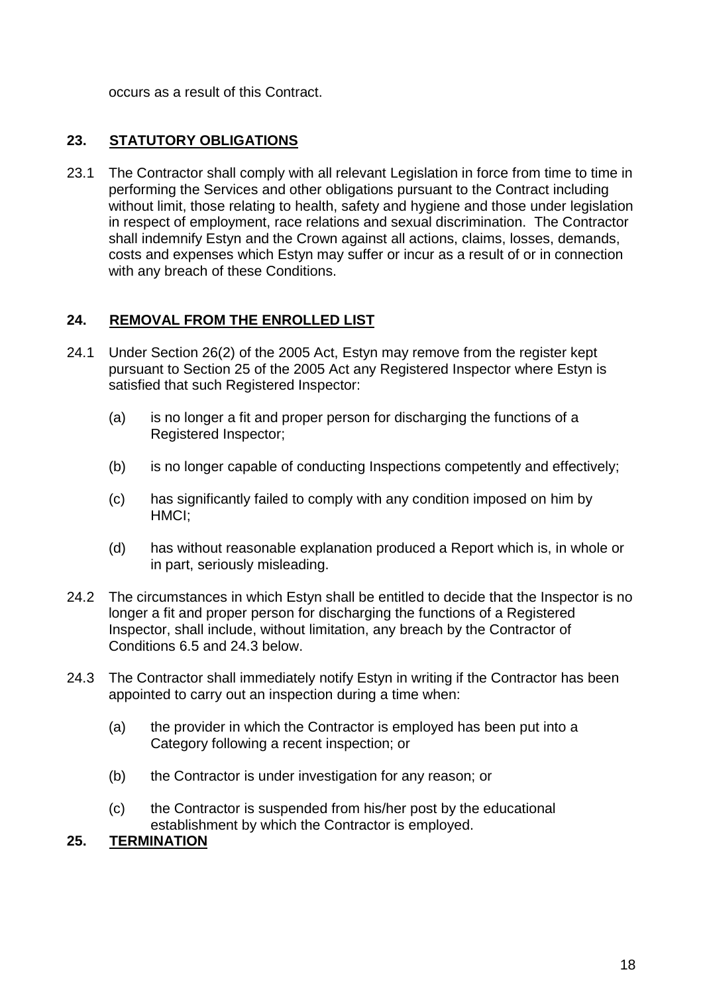occurs as a result of this Contract.

## **23. STATUTORY OBLIGATIONS**

23.1 The Contractor shall comply with all relevant Legislation in force from time to time in performing the Services and other obligations pursuant to the Contract including without limit, those relating to health, safety and hygiene and those under legislation in respect of employment, race relations and sexual discrimination. The Contractor shall indemnify Estyn and the Crown against all actions, claims, losses, demands, costs and expenses which Estyn may suffer or incur as a result of or in connection with any breach of these Conditions.

### **24. REMOVAL FROM THE ENROLLED LIST**

- 24.1 Under Section 26(2) of the 2005 Act, Estyn may remove from the register kept pursuant to Section 25 of the 2005 Act any Registered Inspector where Estyn is satisfied that such Registered Inspector:
	- (a) is no longer a fit and proper person for discharging the functions of a Registered Inspector;
	- (b) is no longer capable of conducting Inspections competently and effectively;
	- (c) has significantly failed to comply with any condition imposed on him by HMCI;
	- (d) has without reasonable explanation produced a Report which is, in whole or in part, seriously misleading.
- 24.2 The circumstances in which Estyn shall be entitled to decide that the Inspector is no longer a fit and proper person for discharging the functions of a Registered Inspector, shall include, without limitation, any breach by the Contractor of Conditions 6.5 and 24.3 below.
- 24.3 The Contractor shall immediately notify Estyn in writing if the Contractor has been appointed to carry out an inspection during a time when:
	- (a) the provider in which the Contractor is employed has been put into a Category following a recent inspection; or
	- (b) the Contractor is under investigation for any reason; or
	- (c) the Contractor is suspended from his/her post by the educational establishment by which the Contractor is employed.

## **25. TERMINATION**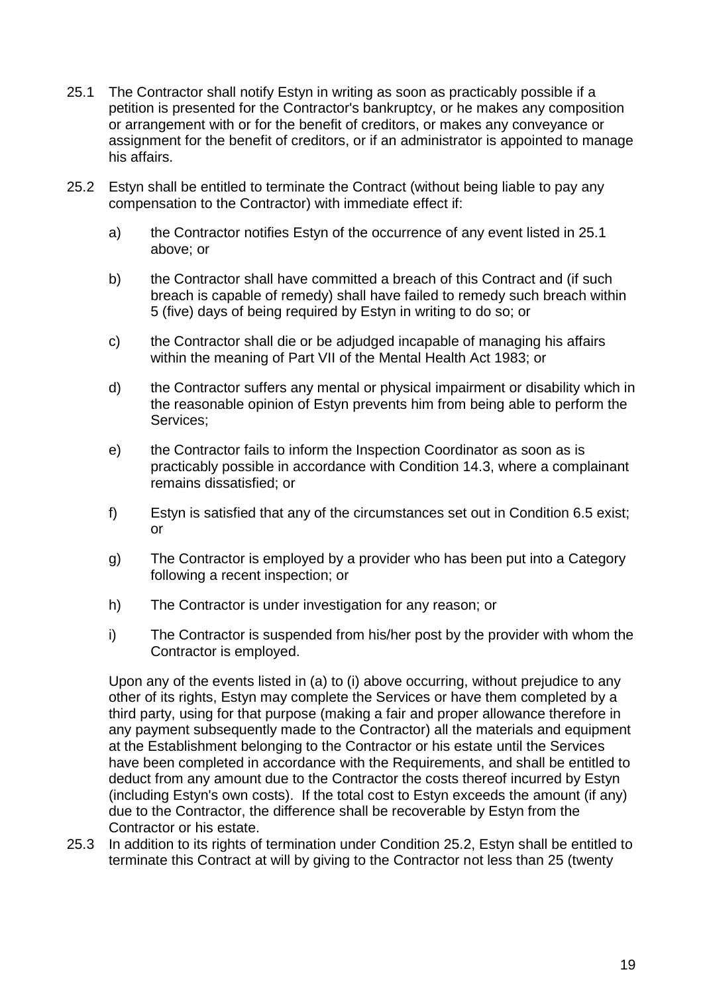- 25.1 The Contractor shall notify Estyn in writing as soon as practicably possible if a petition is presented for the Contractor's bankruptcy, or he makes any composition or arrangement with or for the benefit of creditors, or makes any conveyance or assignment for the benefit of creditors, or if an administrator is appointed to manage his affairs.
- 25.2 Estyn shall be entitled to terminate the Contract (without being liable to pay any compensation to the Contractor) with immediate effect if:
	- a) the Contractor notifies Estyn of the occurrence of any event listed in 25.1 above; or
	- b) the Contractor shall have committed a breach of this Contract and (if such breach is capable of remedy) shall have failed to remedy such breach within 5 (five) days of being required by Estyn in writing to do so; or
	- c) the Contractor shall die or be adjudged incapable of managing his affairs within the meaning of Part VII of the Mental Health Act 1983; or
	- d) the Contractor suffers any mental or physical impairment or disability which in the reasonable opinion of Estyn prevents him from being able to perform the Services;
	- e) the Contractor fails to inform the Inspection Coordinator as soon as is practicably possible in accordance with Condition 14.3, where a complainant remains dissatisfied; or
	- f) Estyn is satisfied that any of the circumstances set out in Condition 6.5 exist; or
	- g) The Contractor is employed by a provider who has been put into a Category following a recent inspection; or
	- h) The Contractor is under investigation for any reason; or
	- i) The Contractor is suspended from his/her post by the provider with whom the Contractor is employed.

Upon any of the events listed in (a) to (i) above occurring, without prejudice to any other of its rights, Estyn may complete the Services or have them completed by a third party, using for that purpose (making a fair and proper allowance therefore in any payment subsequently made to the Contractor) all the materials and equipment at the Establishment belonging to the Contractor or his estate until the Services have been completed in accordance with the Requirements, and shall be entitled to deduct from any amount due to the Contractor the costs thereof incurred by Estyn (including Estyn's own costs). If the total cost to Estyn exceeds the amount (if any) due to the Contractor, the difference shall be recoverable by Estyn from the Contractor or his estate.

25.3 In addition to its rights of termination under Condition 25.2, Estyn shall be entitled to terminate this Contract at will by giving to the Contractor not less than 25 (twenty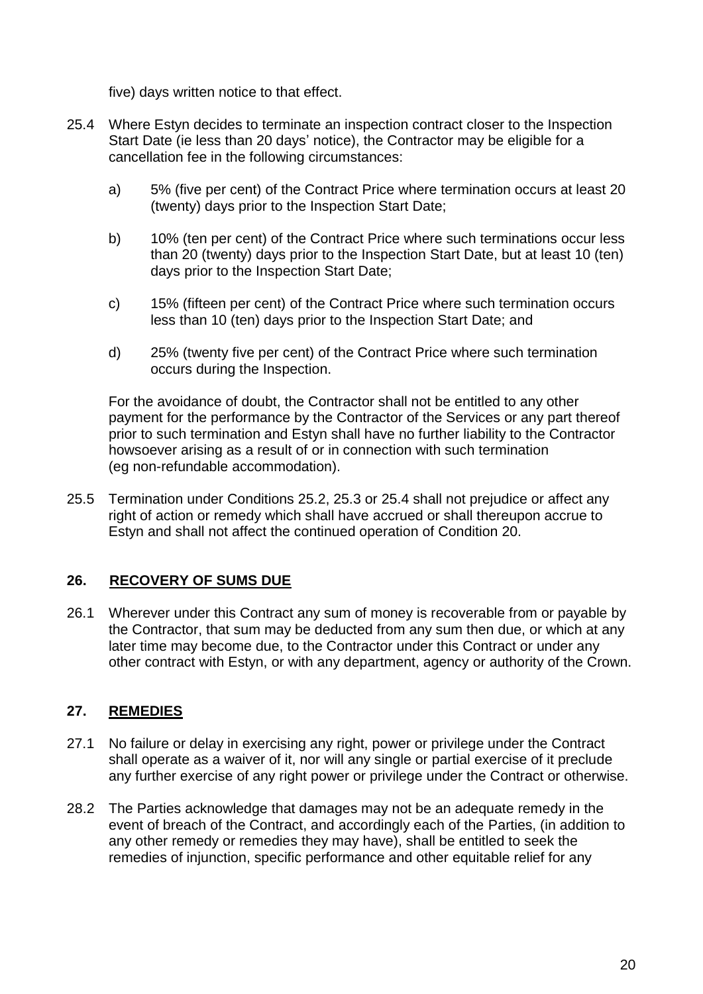five) days written notice to that effect.

- 25.4 Where Estyn decides to terminate an inspection contract closer to the Inspection Start Date (ie less than 20 days' notice), the Contractor may be eligible for a cancellation fee in the following circumstances:
	- a) 5% (five per cent) of the Contract Price where termination occurs at least 20 (twenty) days prior to the Inspection Start Date;
	- b) 10% (ten per cent) of the Contract Price where such terminations occur less than 20 (twenty) days prior to the Inspection Start Date, but at least 10 (ten) days prior to the Inspection Start Date;
	- c) 15% (fifteen per cent) of the Contract Price where such termination occurs less than 10 (ten) days prior to the Inspection Start Date; and
	- d) 25% (twenty five per cent) of the Contract Price where such termination occurs during the Inspection.

For the avoidance of doubt, the Contractor shall not be entitled to any other payment for the performance by the Contractor of the Services or any part thereof prior to such termination and Estyn shall have no further liability to the Contractor howsoever arising as a result of or in connection with such termination (eg non-refundable accommodation).

25.5 Termination under Conditions 25.2, 25.3 or 25.4 shall not prejudice or affect any right of action or remedy which shall have accrued or shall thereupon accrue to Estyn and shall not affect the continued operation of Condition 20.

# **26. RECOVERY OF SUMS DUE**

26.1 Wherever under this Contract any sum of money is recoverable from or payable by the Contractor, that sum may be deducted from any sum then due, or which at any later time may become due, to the Contractor under this Contract or under any other contract with Estyn, or with any department, agency or authority of the Crown.

# **27. REMEDIES**

- 27.1 No failure or delay in exercising any right, power or privilege under the Contract shall operate as a waiver of it, nor will any single or partial exercise of it preclude any further exercise of any right power or privilege under the Contract or otherwise.
- 28.2 The Parties acknowledge that damages may not be an adequate remedy in the event of breach of the Contract, and accordingly each of the Parties, (in addition to any other remedy or remedies they may have), shall be entitled to seek the remedies of injunction, specific performance and other equitable relief for any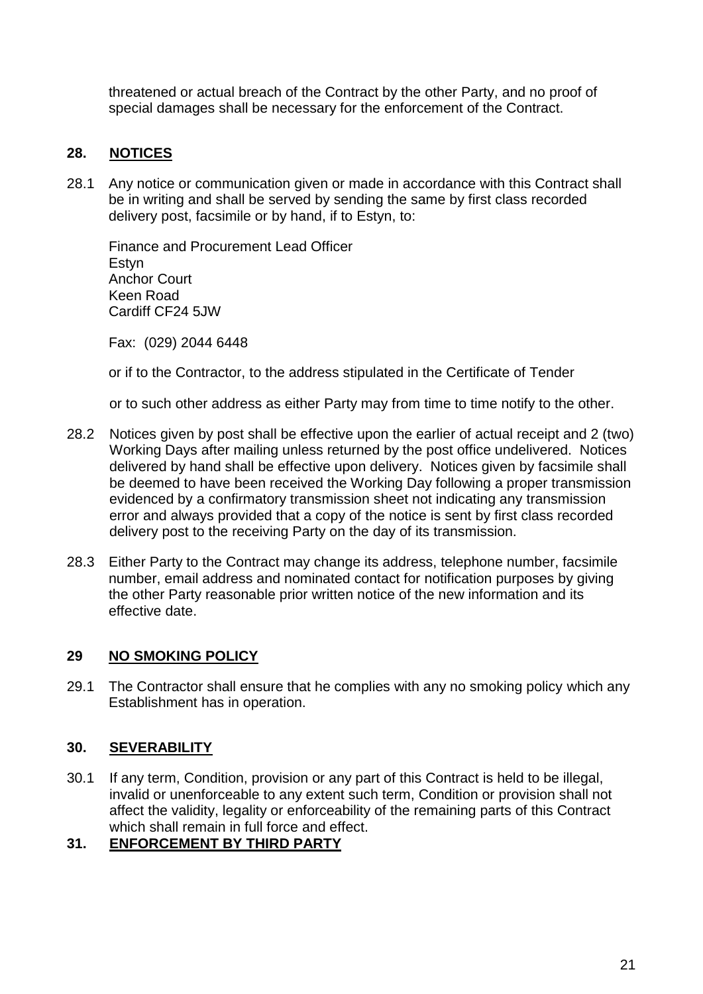threatened or actual breach of the Contract by the other Party, and no proof of special damages shall be necessary for the enforcement of the Contract.

# **28. NOTICES**

28.1 Any notice or communication given or made in accordance with this Contract shall be in writing and shall be served by sending the same by first class recorded delivery post, facsimile or by hand, if to Estyn, to:

Finance and Procurement Lead Officer Estyn Anchor Court Keen Road Cardiff CF24 5JW

Fax: (029) 2044 6448

or if to the Contractor, to the address stipulated in the Certificate of Tender

or to such other address as either Party may from time to time notify to the other.

- 28.2 Notices given by post shall be effective upon the earlier of actual receipt and 2 (two) Working Days after mailing unless returned by the post office undelivered. Notices delivered by hand shall be effective upon delivery. Notices given by facsimile shall be deemed to have been received the Working Day following a proper transmission evidenced by a confirmatory transmission sheet not indicating any transmission error and always provided that a copy of the notice is sent by first class recorded delivery post to the receiving Party on the day of its transmission.
- 28.3 Either Party to the Contract may change its address, telephone number, facsimile number, email address and nominated contact for notification purposes by giving the other Party reasonable prior written notice of the new information and its effective date.

# **29 NO SMOKING POLICY**

29.1 The Contractor shall ensure that he complies with any no smoking policy which any Establishment has in operation.

### **30. SEVERABILITY**

30.1 If any term, Condition, provision or any part of this Contract is held to be illegal, invalid or unenforceable to any extent such term, Condition or provision shall not affect the validity, legality or enforceability of the remaining parts of this Contract which shall remain in full force and effect.

### **31. ENFORCEMENT BY THIRD PARTY**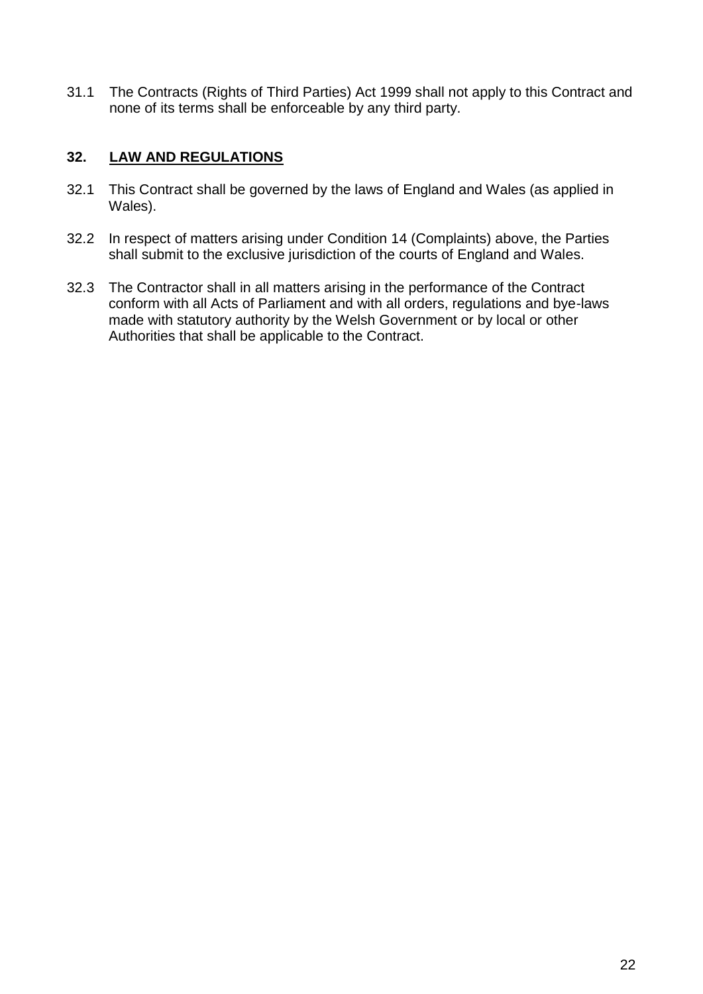31.1 The Contracts (Rights of Third Parties) Act 1999 shall not apply to this Contract and none of its terms shall be enforceable by any third party.

## **32. LAW AND REGULATIONS**

- 32.1 This Contract shall be governed by the laws of England and Wales (as applied in Wales).
- 32.2 In respect of matters arising under Condition 14 (Complaints) above, the Parties shall submit to the exclusive jurisdiction of the courts of England and Wales.
- 32.3 The Contractor shall in all matters arising in the performance of the Contract conform with all Acts of Parliament and with all orders, regulations and bye-laws made with statutory authority by the Welsh Government or by local or other Authorities that shall be applicable to the Contract.